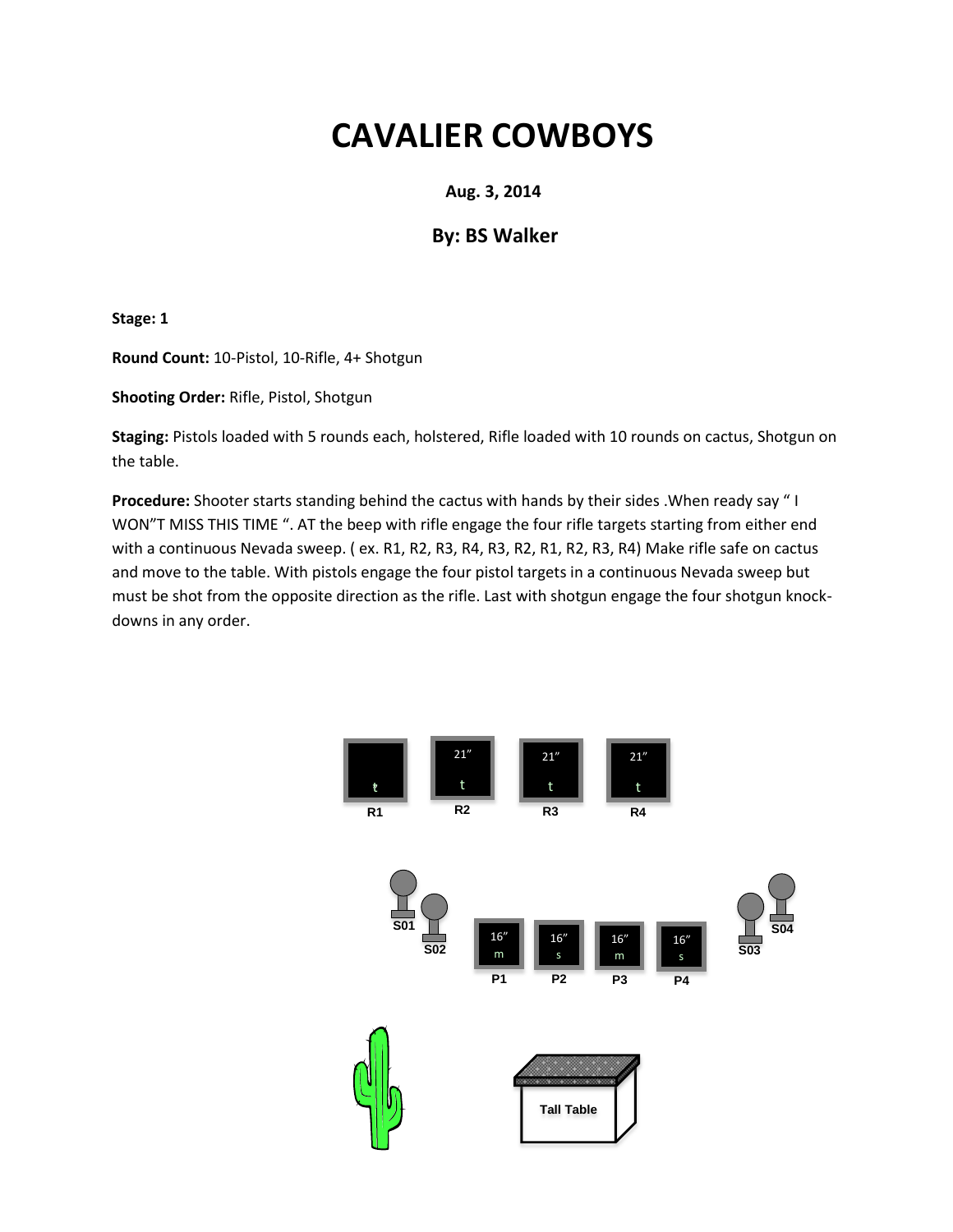#### **Aug. 3, 2014**

### **By: BS Walker**

**Stage: 1**

**Round Count:** 10-Pistol, 10-Rifle, 4+ Shotgun

**Shooting Order:** Rifle, Pistol, Shotgun

**Staging:** Pistols loaded with 5 rounds each, holstered, Rifle loaded with 10 rounds on cactus, Shotgun on the table.

**Procedure:** Shooter starts standing behind the cactus with hands by their sides .When ready say " I WON"T MISS THIS TIME ". AT the beep with rifle engage the four rifle targets starting from either end with a continuous Nevada sweep. ( ex. R1, R2, R3, R4, R3, R2, R1, R2, R3, R4) Make rifle safe on cactus and move to the table. With pistols engage the four pistol targets in a continuous Nevada sweep but must be shot from the opposite direction as the rifle. Last with shotgun engage the four shotgun knockdowns in any order.

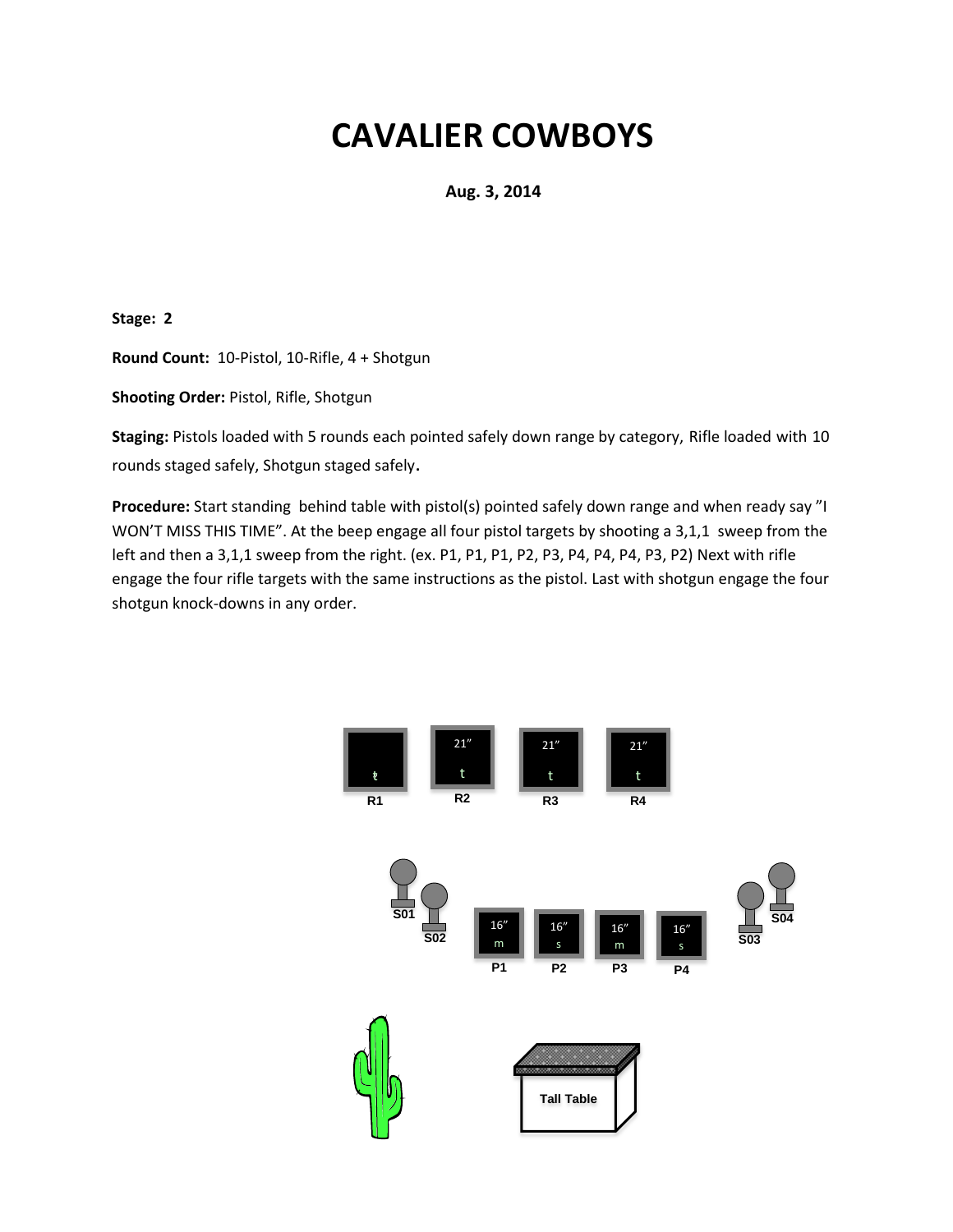**Aug. 3, 2014**

**Stage: 2**

**Round Count:** 10-Pistol, 10-Rifle, 4 + Shotgun

**Shooting Order:** Pistol, Rifle, Shotgun

**Staging:** Pistols loaded with 5 rounds each pointed safely down range by category, Rifle loaded with 10 rounds staged safely, Shotgun staged safely.

**Procedure:** Start standing behind table with pistol(s) pointed safely down range and when ready say "I WON'T MISS THIS TIME". At the beep engage all four pistol targets by shooting a 3,1,1 sweep from the left and then a 3,1,1 sweep from the right. (ex. P1, P1, P1, P2, P3, P4, P4, P4, P3, P2) Next with rifle engage the four rifle targets with the same instructions as the pistol. Last with shotgun engage the four shotgun knock-downs in any order.

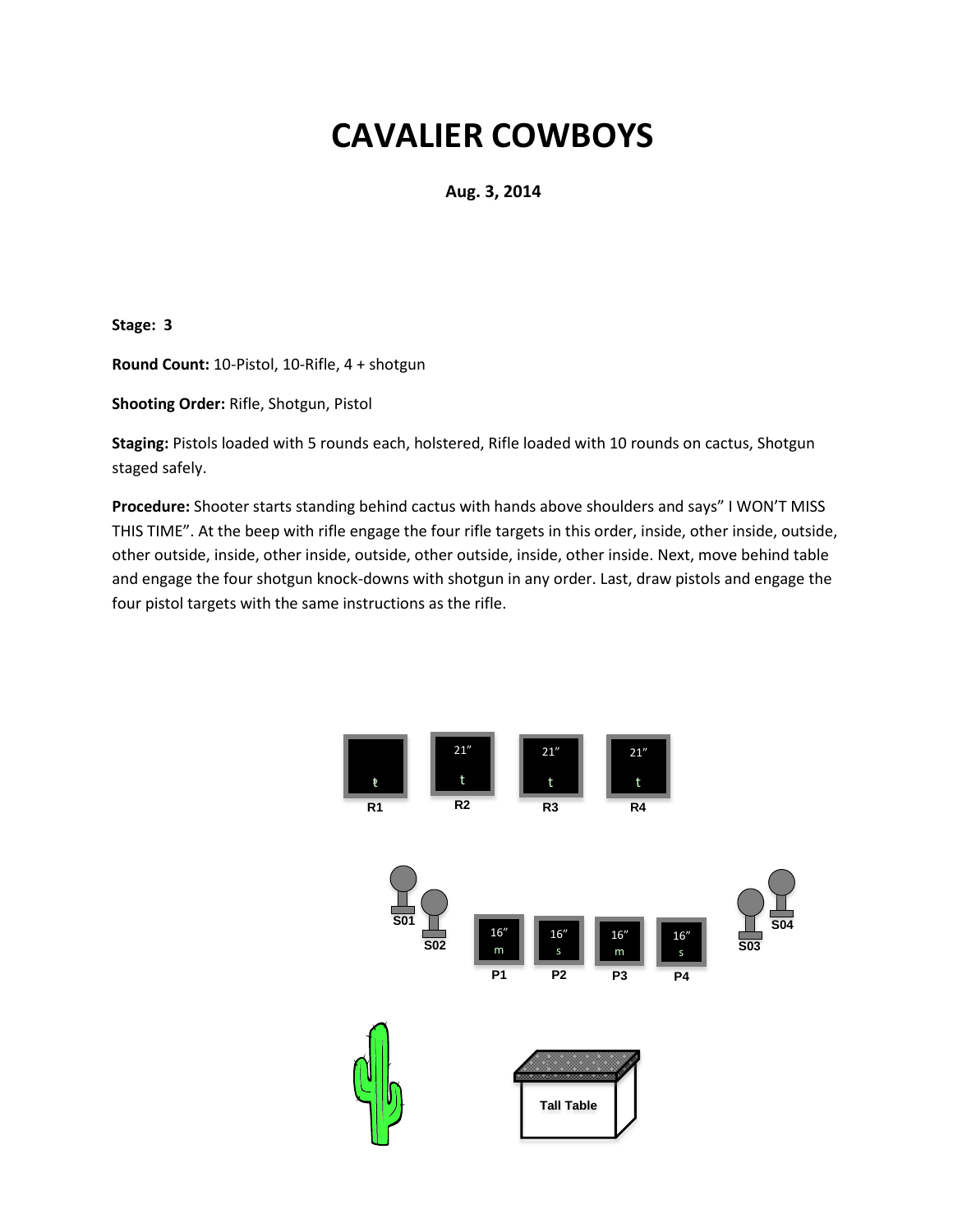**Aug. 3, 2014**

**Stage: 3**

**Round Count:** 10-Pistol, 10-Rifle, 4 + shotgun

**Shooting Order:** Rifle, Shotgun, Pistol

**Staging:** Pistols loaded with 5 rounds each, holstered, Rifle loaded with 10 rounds on cactus, Shotgun staged safely.

**Procedure:** Shooter starts standing behind cactus with hands above shoulders and says" I WON'T MISS THIS TIME". At the beep with rifle engage the four rifle targets in this order, inside, other inside, outside, other outside, inside, other inside, outside, other outside, inside, other inside. Next, move behind table and engage the four shotgun knock-downs with shotgun in any order. Last, draw pistols and engage the four pistol targets with the same instructions as the rifle.

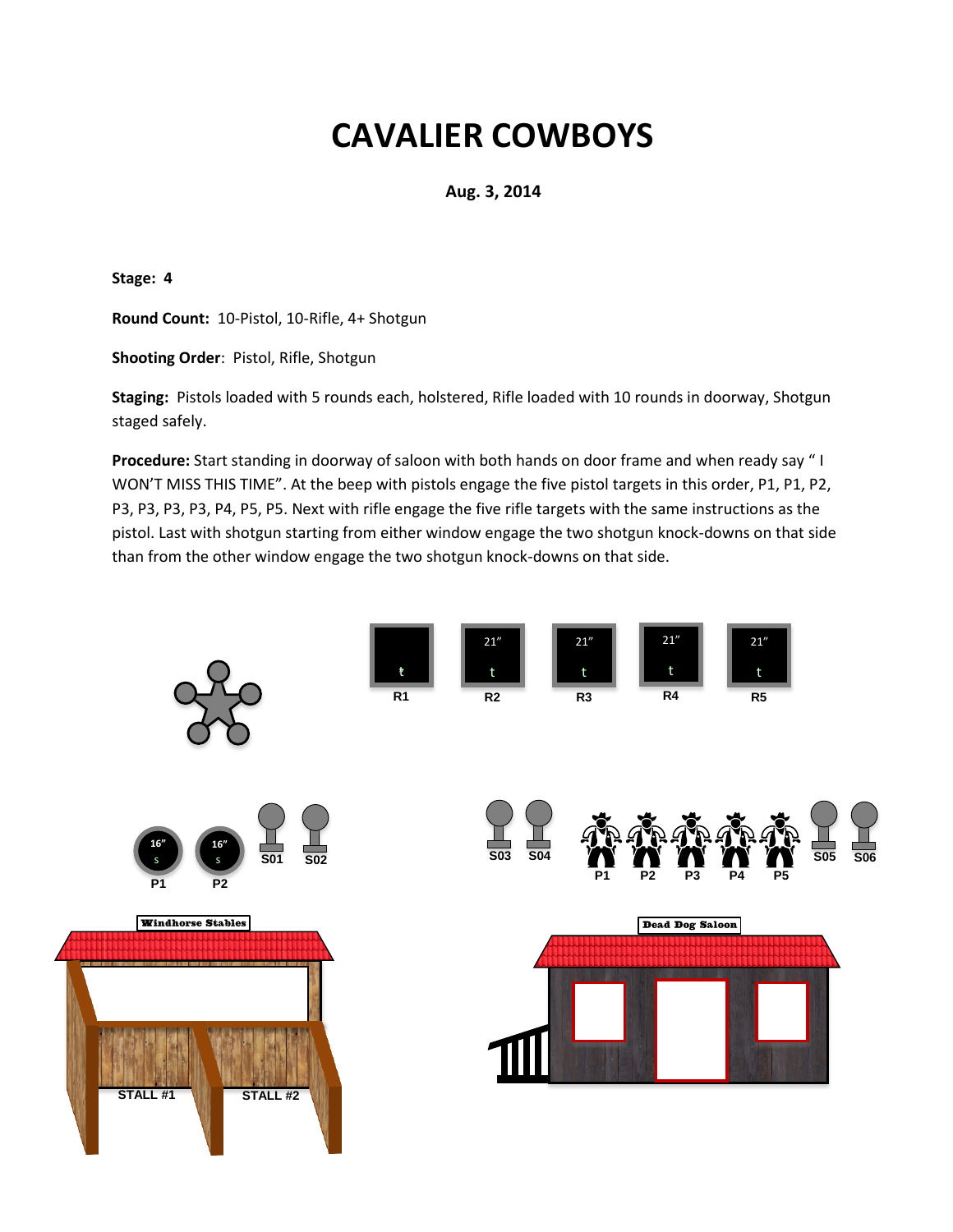**Aug. 3, 2014**

**Stage: 4**

**Round Count:** 10-Pistol, 10-Rifle, 4+ Shotgun

**Shooting Order**: Pistol, Rifle, Shotgun

**Staging:** Pistols loaded with 5 rounds each, holstered, Rifle loaded with 10 rounds in doorway, Shotgun staged safely.

**Procedure:** Start standing in doorway of saloon with both hands on door frame and when ready say " I WON'T MISS THIS TIME". At the beep with pistols engage the five pistol targets in this order, P1, P1, P2, P3, P3, P3, P3, P4, P5, P5. Next with rifle engage the five rifle targets with the same instructions as the pistol. Last with shotgun starting from either window engage the two shotgun knock-downs on that side than from the other window engage the two shotgun knock-downs on that side.

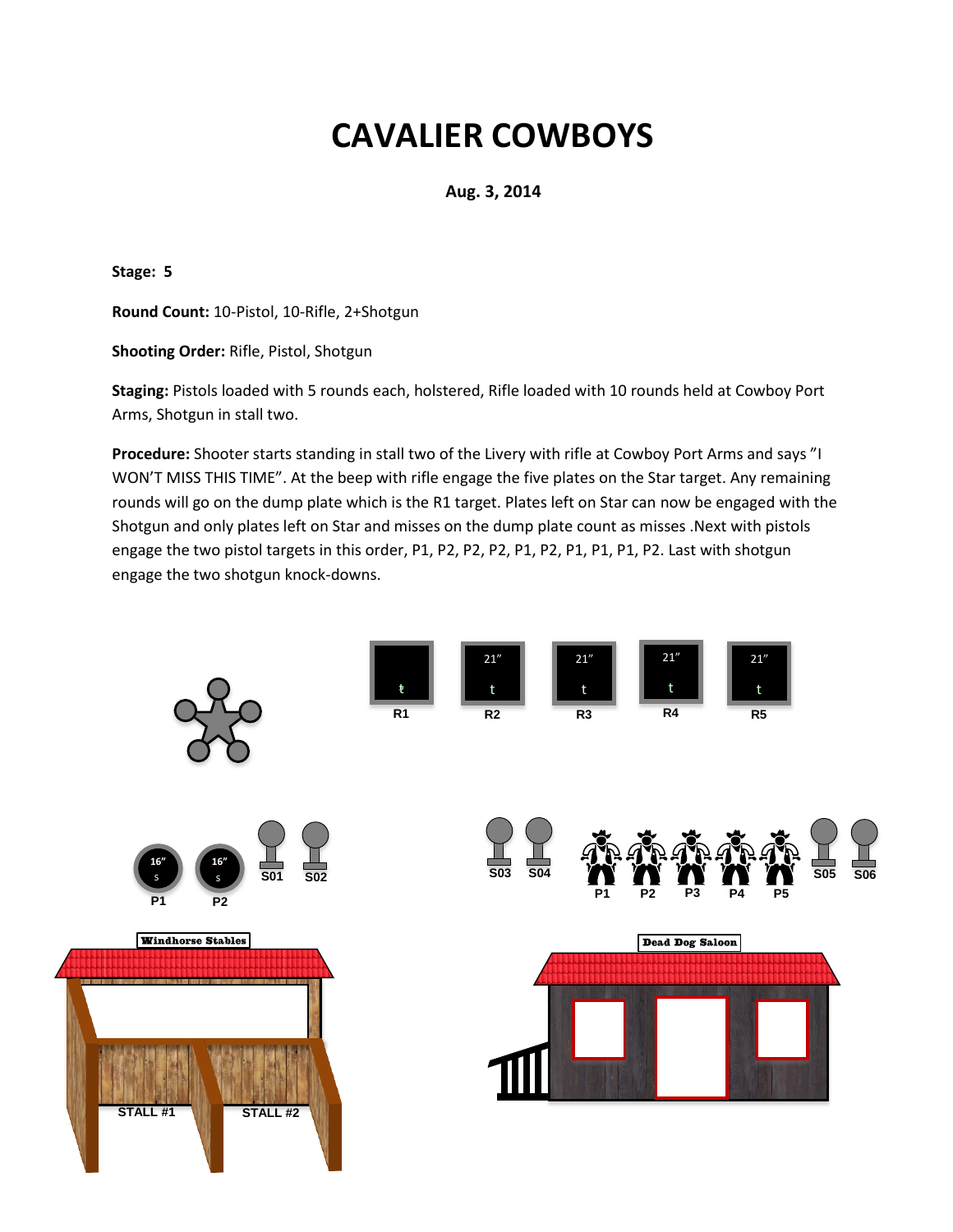**Aug. 3, 2014**

**Stage: 5**

**Round Count:** 10-Pistol, 10-Rifle, 2+Shotgun

**Shooting Order:** Rifle, Pistol, Shotgun

**Staging:** Pistols loaded with 5 rounds each, holstered, Rifle loaded with 10 rounds held at Cowboy Port Arms, Shotgun in stall two.

**Procedure:** Shooter starts standing in stall two of the Livery with rifle at Cowboy Port Arms and says "I WON'T MISS THIS TIME". At the beep with rifle engage the five plates on the Star target. Any remaining rounds will go on the dump plate which is the R1 target. Plates left on Star can now be engaged with the Shotgun and only plates left on Star and misses on the dump plate count as misses .Next with pistols engage the two pistol targets in this order, P1, P2, P2, P2, P1, P2, P1, P1, P1, P2. Last with shotgun engage the two shotgun knock-downs.